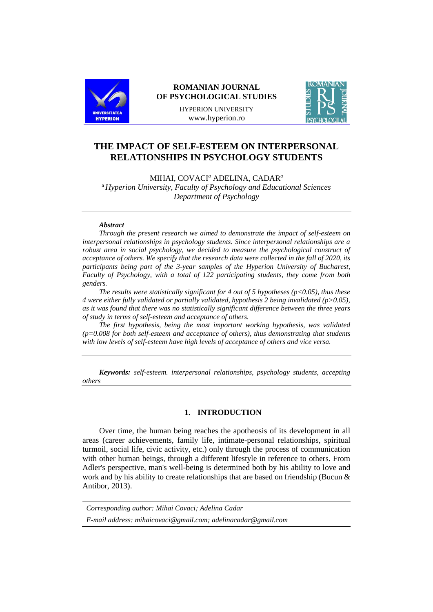

## **ROMANIAN JOURNAL OF PSYCHOLOGICAL STUDIES**

HYPERION UNIVERSITY www.hyperion.ro



# **THE IMPACT OF SELF-ESTEEM ON INTERPERSONAL RELATIONSHIPS IN PSYCHOLOGY STUDENTS**

MIHAI, COVACI*<sup>a</sup>* ADELINA, CADAR*<sup>a</sup>*

<sup>a</sup> *Hyperion University, Faculty of Psychology and Educational Sciences Department of Psychology*

#### *Abstract*

*Through the present research we aimed to demonstrate the impact of self-esteem on interpersonal relationships in psychology students. Since interpersonal relationships are a robust area in social psychology, we decided to measure the psychological construct of acceptance of others. We specify that the research data were collected in the fall of 2020, its participants being part of the 3-year samples of the Hyperion University of Bucharest, Faculty of Psychology, with a total of 122 participating students, they come from both genders.*

*The results were statistically significant for 4 out of 5 hypotheses (p<0.05), thus these 4 were either fully validated or partially validated, hypothesis 2 being invalidated (p>0.05), as it was found that there was no statistically significant difference between the three years of study in terms of self-esteem and acceptance of others.*

*The first hypothesis, being the most important working hypothesis, was validated (p=0.008 for both self-esteem and acceptance of others), thus demonstrating that students with low levels of self-esteem have high levels of acceptance of others and vice versa.*

*Keywords: self-esteem. interpersonal relationships, psychology students, accepting others*

### **1. INTRODUCTION**

Over time, the human being reaches the apotheosis of its development in all areas (career achievements, family life, intimate-personal relationships, spiritual turmoil, social life, civic activity, etc.) only through the process of communication with other human beings, through a different lifestyle in reference to others. From Adler's perspective, man's well-being is determined both by his ability to love and work and by his ability to create relationships that are based on friendship (Bucun & Antibor, 2013).

| Corresponding author: Mihai Covaci; Adelina Cadar             |  |
|---------------------------------------------------------------|--|
| E-mail address: mihaicovaci@gmail.com; adelinacadar@gmail.com |  |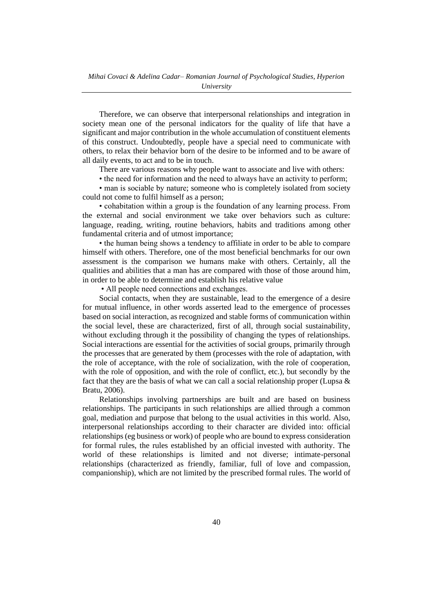Therefore, we can observe that interpersonal relationships and integration in society mean one of the personal indicators for the quality of life that have a significant and major contribution in the whole accumulation of constituent elements of this construct. Undoubtedly, people have a special need to communicate with others, to relax their behavior born of the desire to be informed and to be aware of all daily events, to act and to be in touch.

There are various reasons why people want to associate and live with others:

• the need for information and the need to always have an activity to perform;

• man is sociable by nature; someone who is completely isolated from society could not come to fulfil himself as a person;

• cohabitation within a group is the foundation of any learning process. From the external and social environment we take over behaviors such as culture: language, reading, writing, routine behaviors, habits and traditions among other fundamental criteria and of utmost importance;

• the human being shows a tendency to affiliate in order to be able to compare himself with others. Therefore, one of the most beneficial benchmarks for our own assessment is the comparison we humans make with others. Certainly, all the qualities and abilities that a man has are compared with those of those around him, in order to be able to determine and establish his relative value

• All people need connections and exchanges.

Social contacts, when they are sustainable, lead to the emergence of a desire for mutual influence, in other words asserted lead to the emergence of processes based on social interaction, as recognized and stable forms of communication within the social level, these are characterized, first of all, through social sustainability, without excluding through it the possibility of changing the types of relationships. Social interactions are essential for the activities of social groups, primarily through the processes that are generated by them (processes with the role of adaptation, with the role of acceptance, with the role of socialization, with the role of cooperation, with the role of opposition, and with the role of conflict, etc.), but secondly by the fact that they are the basis of what we can call a social relationship proper (Lupsa  $\&$ Bratu, 2006).

Relationships involving partnerships are built and are based on business relationships. The participants in such relationships are allied through a common goal, mediation and purpose that belong to the usual activities in this world. Also, interpersonal relationships according to their character are divided into: official relationships (eg business or work) of people who are bound to express consideration for formal rules, the rules established by an official invested with authority. The world of these relationships is limited and not diverse; intimate-personal relationships (characterized as friendly, familiar, full of love and compassion, companionship), which are not limited by the prescribed formal rules. The world of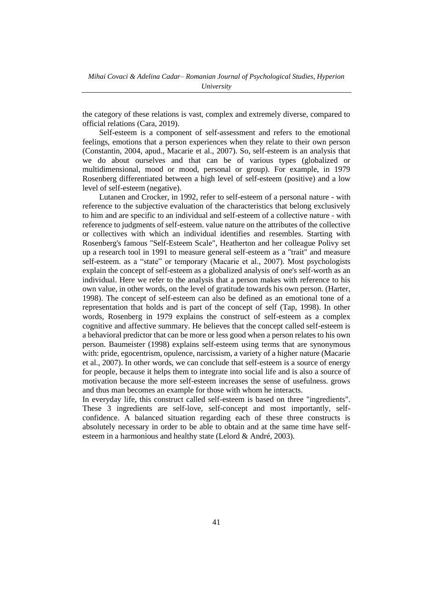the category of these relations is vast, complex and extremely diverse, compared to official relations (Cara, 2019).

Self-esteem is a component of self-assessment and refers to the emotional feelings, emotions that a person experiences when they relate to their own person (Constantin, 2004, apud., Macarie et al., 2007). So, self-esteem is an analysis that we do about ourselves and that can be of various types (globalized or multidimensional, mood or mood, personal or group). For example, in 1979 Rosenberg differentiated between a high level of self-esteem (positive) and a low level of self-esteem (negative).

Lutanen and Crocker, in 1992, refer to self-esteem of a personal nature - with reference to the subjective evaluation of the characteristics that belong exclusively to him and are specific to an individual and self-esteem of a collective nature - with reference to judgments of self-esteem. value nature on the attributes of the collective or collectives with which an individual identifies and resembles. Starting with Rosenberg's famous "Self-Esteem Scale", Heatherton and her colleague Polivy set up a research tool in 1991 to measure general self-esteem as a "trait" and measure self-esteem. as a "state" or temporary (Macarie et al., 2007). Most psychologists explain the concept of self-esteem as a globalized analysis of one's self-worth as an individual. Here we refer to the analysis that a person makes with reference to his own value, in other words, on the level of gratitude towards his own person. (Harter, 1998). The concept of self-esteem can also be defined as an emotional tone of a representation that holds and is part of the concept of self (Tap, 1998). In other words, Rosenberg in 1979 explains the construct of self-esteem as a complex cognitive and affective summary. He believes that the concept called self-esteem is a behavioral predictor that can be more or less good when a person relates to his own person. Baumeister (1998) explains self-esteem using terms that are synonymous with: pride, egocentrism, opulence, narcissism, a variety of a higher nature (Macarie et al., 2007). In other words, we can conclude that self-esteem is a source of energy for people, because it helps them to integrate into social life and is also a source of motivation because the more self-esteem increases the sense of usefulness. grows and thus man becomes an example for those with whom he interacts.

In everyday life, this construct called self-esteem is based on three "ingredients". These 3 ingredients are self-love, self-concept and most importantly, selfconfidence. A balanced situation regarding each of these three constructs is absolutely necessary in order to be able to obtain and at the same time have selfesteem in a harmonious and healthy state (Lelord & André, 2003).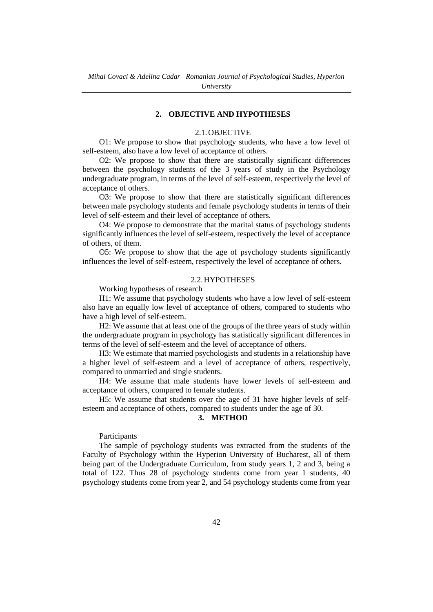#### **2. OBJECTIVE AND HYPOTHESES**

### 2.1.OBJECTIVE

O1: We propose to show that psychology students, who have a low level of self-esteem, also have a low level of acceptance of others.

O2: We propose to show that there are statistically significant differences between the psychology students of the 3 years of study in the Psychology undergraduate program, in terms of the level of self-esteem, respectively the level of acceptance of others.

O3: We propose to show that there are statistically significant differences between male psychology students and female psychology students in terms of their level of self-esteem and their level of acceptance of others.

O4: We propose to demonstrate that the marital status of psychology students significantly influences the level of self-esteem, respectively the level of acceptance of others, of them.

O5: We propose to show that the age of psychology students significantly influences the level of self-esteem, respectively the level of acceptance of others.

#### 2.2.HYPOTHESES

Working hypotheses of research

H1: We assume that psychology students who have a low level of self-esteem also have an equally low level of acceptance of others, compared to students who have a high level of self-esteem.

H2: We assume that at least one of the groups of the three years of study within the undergraduate program in psychology has statistically significant differences in terms of the level of self-esteem and the level of acceptance of others.

H3: We estimate that married psychologists and students in a relationship have a higher level of self-esteem and a level of acceptance of others, respectively, compared to unmarried and single students.

H4: We assume that male students have lower levels of self-esteem and acceptance of others, compared to female students.

H5: We assume that students over the age of 31 have higher levels of selfesteem and acceptance of others, compared to students under the age of 30.

### **3. METHOD**

### Participants

The sample of psychology students was extracted from the students of the Faculty of Psychology within the Hyperion University of Bucharest, all of them being part of the Undergraduate Curriculum, from study years 1, 2 and 3, being a total of 122. Thus 28 of psychology students come from year 1 students, 40 psychology students come from year 2, and 54 psychology students come from year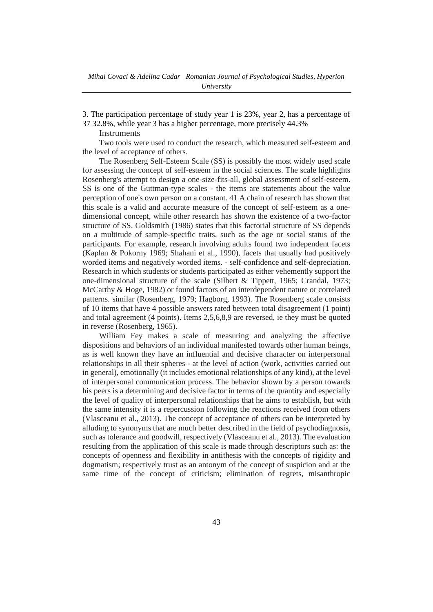3. The participation percentage of study year 1 is 23%, year 2, has a percentage of 37 32.8%, while year 3 has a higher percentage, more precisely 44.3%

**Instruments** 

Two tools were used to conduct the research, which measured self-esteem and the level of acceptance of others.

The Rosenberg Self-Esteem Scale (SS) is possibly the most widely used scale for assessing the concept of self-esteem in the social sciences. The scale highlights Rosenberg's attempt to design a one-size-fits-all, global assessment of self-esteem. SS is one of the Guttman-type scales - the items are statements about the value perception of one's own person on a constant. 41 A chain of research has shown that this scale is a valid and accurate measure of the concept of self-esteem as a onedimensional concept, while other research has shown the existence of a two-factor structure of SS. Goldsmith (1986) states that this factorial structure of SS depends on a multitude of sample-specific traits, such as the age or social status of the participants. For example, research involving adults found two independent facets (Kaplan & Pokorny 1969; Shahani et al., 1990), facets that usually had positively worded items and negatively worded items. - self-confidence and self-depreciation. Research in which students or students participated as either vehemently support the one-dimensional structure of the scale (Silbert & Tippett, 1965; Crandal, 1973; McCarthy & Hoge, 1982) or found factors of an interdependent nature or correlated patterns. similar (Rosenberg, 1979; Hagborg, 1993). The Rosenberg scale consists of 10 items that have 4 possible answers rated between total disagreement (1 point) and total agreement (4 points). Items 2,5,6,8,9 are reversed, ie they must be quoted in reverse (Rosenberg, 1965).

William Fey makes a scale of measuring and analyzing the affective dispositions and behaviors of an individual manifested towards other human beings, as is well known they have an influential and decisive character on interpersonal relationships in all their spheres - at the level of action (work, activities carried out in general), emotionally (it includes emotional relationships of any kind), at the level of interpersonal communication process. The behavior shown by a person towards his peers is a determining and decisive factor in terms of the quantity and especially the level of quality of interpersonal relationships that he aims to establish, but with the same intensity it is a repercussion following the reactions received from others (Vlasceanu et al., 2013). The concept of acceptance of others can be interpreted by alluding to synonyms that are much better described in the field of psychodiagnosis, such as tolerance and goodwill, respectively (Vlasceanu et al., 2013). The evaluation resulting from the application of this scale is made through descriptors such as: the concepts of openness and flexibility in antithesis with the concepts of rigidity and dogmatism; respectively trust as an antonym of the concept of suspicion and at the same time of the concept of criticism; elimination of regrets, misanthropic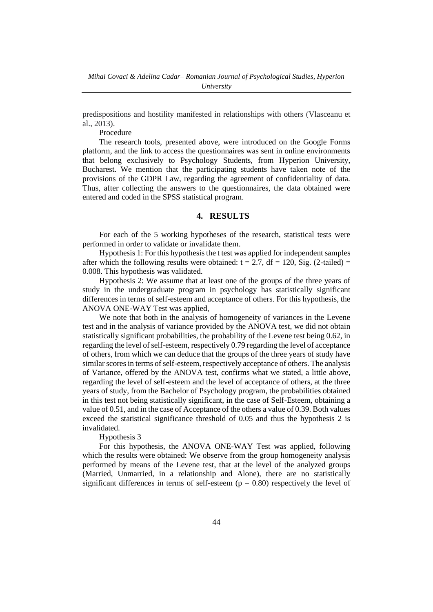predispositions and hostility manifested in relationships with others (Vlasceanu et al., 2013).

Procedure

The research tools, presented above, were introduced on the Google Forms platform, and the link to access the questionnaires was sent in online environments that belong exclusively to Psychology Students, from Hyperion University, Bucharest. We mention that the participating students have taken note of the provisions of the GDPR Law, regarding the agreement of confidentiality of data. Thus, after collecting the answers to the questionnaires, the data obtained were entered and coded in the SPSS statistical program.

# **4. RESULTS**

For each of the 5 working hypotheses of the research, statistical tests were performed in order to validate or invalidate them.

Hypothesis 1: For this hypothesis the t test was applied for independent samples after which the following results were obtained:  $t = 2.7$ ,  $df = 120$ , Sig. (2-tailed) = 0.008. This hypothesis was validated.

Hypothesis 2: We assume that at least one of the groups of the three years of study in the undergraduate program in psychology has statistically significant differences in terms of self-esteem and acceptance of others. For this hypothesis, the ANOVA ONE-WAY Test was applied,

We note that both in the analysis of homogeneity of variances in the Levene test and in the analysis of variance provided by the ANOVA test, we did not obtain statistically significant probabilities, the probability of the Levene test being 0.62, in regarding the level of self-esteem, respectively 0.79 regarding the level of acceptance of others, from which we can deduce that the groups of the three years of study have similar scores in terms of self-esteem, respectively acceptance of others. The analysis of Variance, offered by the ANOVA test, confirms what we stated, a little above, regarding the level of self-esteem and the level of acceptance of others, at the three years of study, from the Bachelor of Psychology program, the probabilities obtained in this test not being statistically significant, in the case of Self-Esteem, obtaining a value of 0.51, and in the case of Acceptance of the others a value of 0.39. Both values exceed the statistical significance threshold of 0.05 and thus the hypothesis 2 is invalidated.

### Hypothesis 3

For this hypothesis, the ANOVA ONE-WAY Test was applied, following which the results were obtained: We observe from the group homogeneity analysis performed by means of the Levene test, that at the level of the analyzed groups (Married, Unmarried, in a relationship and Alone), there are no statistically significant differences in terms of self-esteem  $(p = 0.80)$  respectively the level of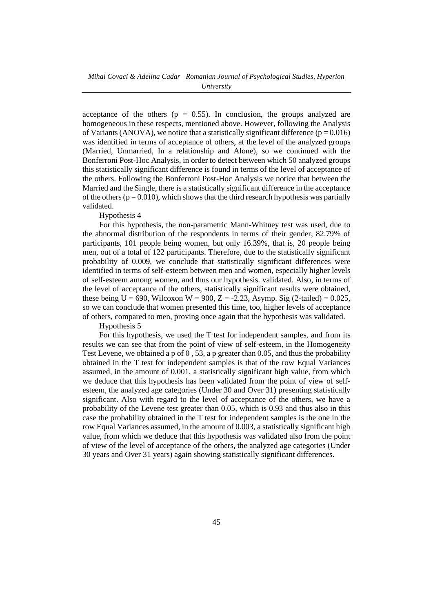acceptance of the others ( $p = 0.55$ ). In conclusion, the groups analyzed are homogeneous in these respects, mentioned above. However, following the Analysis of Variants (ANOVA), we notice that a statistically significant difference ( $p = 0.016$ ) was identified in terms of acceptance of others, at the level of the analyzed groups (Married, Unmarried, In a relationship and Alone), so we continued with the Bonferroni Post-Hoc Analysis, in order to detect between which 50 analyzed groups this statistically significant difference is found in terms of the level of acceptance of the others. Following the Bonferroni Post-Hoc Analysis we notice that between the Married and the Single, there is a statistically significant difference in the acceptance of the others ( $p = 0.010$ ), which shows that the third research hypothesis was partially validated.

#### Hypothesis 4

For this hypothesis, the non-parametric Mann-Whitney test was used, due to the abnormal distribution of the respondents in terms of their gender, 82.79% of participants, 101 people being women, but only 16.39%, that is, 20 people being men, out of a total of 122 participants. Therefore, due to the statistically significant probability of 0.009, we conclude that statistically significant differences were identified in terms of self-esteem between men and women, especially higher levels of self-esteem among women, and thus our hypothesis. validated. Also, in terms of the level of acceptance of the others, statistically significant results were obtained, these being  $U = 690$ , Wilcoxon W = 900, Z = -2.23, Asymp. Sig (2-tailed) = 0.025, so we can conclude that women presented this time, too, higher levels of acceptance of others, compared to men, proving once again that the hypothesis was validated.

Hypothesis 5

For this hypothesis, we used the T test for independent samples, and from its results we can see that from the point of view of self-esteem, in the Homogeneity Test Levene, we obtained a p of  $\overline{0}$ , 53, a p greater than 0.05, and thus the probability obtained in the T test for independent samples is that of the row Equal Variances assumed, in the amount of 0.001, a statistically significant high value, from which we deduce that this hypothesis has been validated from the point of view of selfesteem, the analyzed age categories (Under 30 and Over 31) presenting statistically significant. Also with regard to the level of acceptance of the others, we have a probability of the Levene test greater than 0.05, which is 0.93 and thus also in this case the probability obtained in the T test for independent samples is the one in the row Equal Variances assumed, in the amount of 0.003, a statistically significant high value, from which we deduce that this hypothesis was validated also from the point of view of the level of acceptance of the others, the analyzed age categories (Under 30 years and Over 31 years) again showing statistically significant differences.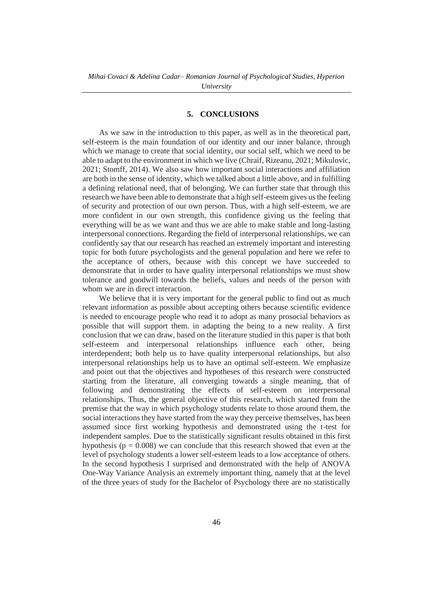### **5. CONCLUSIONS**

As we saw in the introduction to this paper, as well as in the theoretical part, self-esteem is the main foundation of our identity and our inner balance, through which we manage to create that social identity, our social self, which we need to be able to adapt to the environment in which we live (Chraif, Rizeanu, 2021; Mikulovic, 2021; Stomff, 2014). We also saw how important social interactions and affiliation are both in the sense of identity, which we talked about a little above, and in fulfilling a defining relational need, that of belonging. We can further state that through this research we have been able to demonstrate that a high self-esteem gives us the feeling of security and protection of our own person. Thus, with a high self-esteem, we are more confident in our own strength, this confidence giving us the feeling that everything will be as we want and thus we are able to make stable and long-lasting interpersonal connections. Regarding the field of interpersonal relationships, we can confidently say that our research has reached an extremely important and interesting topic for both future psychologists and the general population and here we refer to the acceptance of others, because with this concept we have succeeded to demonstrate that in order to have quality interpersonal relationships we must show tolerance and goodwill towards the beliefs, values and needs of the person with whom we are in direct interaction.

We believe that it is very important for the general public to find out as much relevant information as possible about accepting others because scientific evidence is needed to encourage people who read it to adopt as many prosocial behaviors as possible that will support them. in adapting the being to a new reality. A first conclusion that we can draw, based on the literature studied in this paper is that both self-esteem and interpersonal relationships influence each other, being interdependent; both help us to have quality interpersonal relationships, but also interpersonal relationships help us to have an optimal self-esteem. We emphasize and point out that the objectives and hypotheses of this research were constructed starting from the literature, all converging towards a single meaning, that of following and demonstrating the effects of self-esteem on interpersonal relationships. Thus, the general objective of this research, which started from the premise that the way in which psychology students relate to those around them, the social interactions they have started from the way they perceive themselves, has been assumed since first working hypothesis and demonstrated using the t-test for independent samples. Due to the statistically significant results obtained in this first hypothesis ( $p = 0.008$ ) we can conclude that this research showed that even at the level of psychology students a lower self-esteem leads to a low acceptance of others. In the second hypothesis I surprised and demonstrated with the help of ANOVA One-Way Variance Analysis an extremely important thing, namely that at the level of the three years of study for the Bachelor of Psychology there are no statistically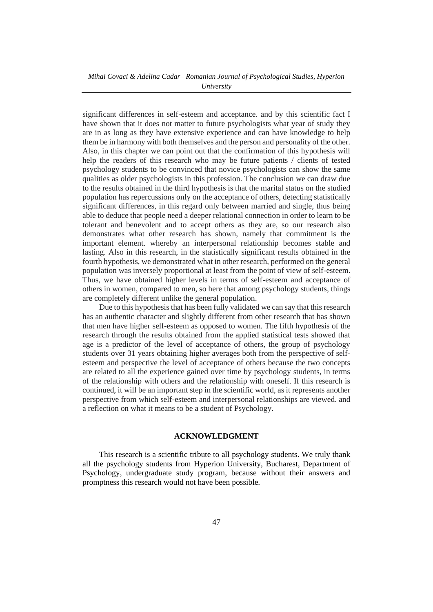### *Mihai Covaci & Adelina Cadar– Romanian Journal of Psychological Studies, Hyperion University*

significant differences in self-esteem and acceptance. and by this scientific fact I have shown that it does not matter to future psychologists what year of study they are in as long as they have extensive experience and can have knowledge to help them be in harmony with both themselves and the person and personality of the other. Also, in this chapter we can point out that the confirmation of this hypothesis will help the readers of this research who may be future patients / clients of tested psychology students to be convinced that novice psychologists can show the same qualities as older psychologists in this profession. The conclusion we can draw due to the results obtained in the third hypothesis is that the marital status on the studied population has repercussions only on the acceptance of others, detecting statistically significant differences, in this regard only between married and single, thus being able to deduce that people need a deeper relational connection in order to learn to be tolerant and benevolent and to accept others as they are, so our research also demonstrates what other research has shown, namely that commitment is the important element. whereby an interpersonal relationship becomes stable and lasting. Also in this research, in the statistically significant results obtained in the fourth hypothesis, we demonstrated what in other research, performed on the general population was inversely proportional at least from the point of view of self-esteem. Thus, we have obtained higher levels in terms of self-esteem and acceptance of others in women, compared to men, so here that among psychology students, things are completely different unlike the general population.

Due to this hypothesis that has been fully validated we can say that this research has an authentic character and slightly different from other research that has shown that men have higher self-esteem as opposed to women. The fifth hypothesis of the research through the results obtained from the applied statistical tests showed that age is a predictor of the level of acceptance of others, the group of psychology students over 31 years obtaining higher averages both from the perspective of selfesteem and perspective the level of acceptance of others because the two concepts are related to all the experience gained over time by psychology students, in terms of the relationship with others and the relationship with oneself. If this research is continued, it will be an important step in the scientific world, as it represents another perspective from which self-esteem and interpersonal relationships are viewed. and a reflection on what it means to be a student of Psychology.

### **ACKNOWLEDGMENT**

This research is a scientific tribute to all psychology students. We truly thank all the psychology students from Hyperion University, Bucharest, Department of Psychology, undergraduate study program, because without their answers and promptness this research would not have been possible.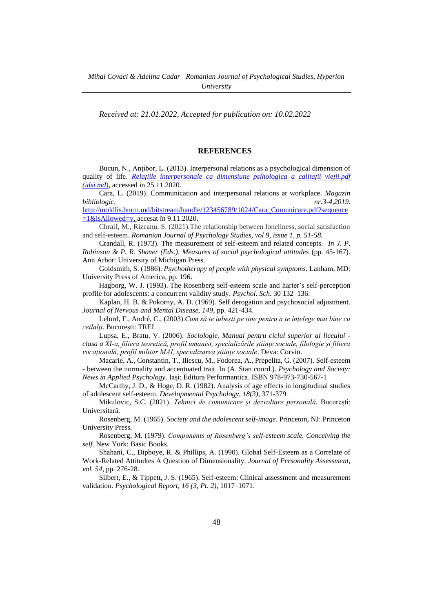*Received at: 21.01.2022, Accepted for publication on: 10.02.2022*

### **REFERENCES**

Bucun, N., Anțibor, L. (2013). Interpersonal relations as a psychological dimension of quality of life. *[Relațiile interpersonale ca dimensiune psihologica](https://ibn.idsi.md/sites/default/files/imag_file/Relatiile%20interpersonale%20ca%20dimensiune%20psihologica.pdf) a calitații vieții.pdf [\(idsi.md\),](https://ibn.idsi.md/sites/default/files/imag_file/Relatiile%20interpersonale%20ca%20dimensiune%20psihologica.pdf)* accessed in 25.11.2020.

Cara, L. (2019). Communication and interpersonal relations at workplace. *Magazin bibliologic, nr.3-4,2019*.

[http://moldlis.bnrm.md/bitstream/handle/123456789/1024/Cara\\_Comunicare.pdf?sequence](http://moldlis.bnrm.md/bitstream/handle/123456789/1024/Cara_Comunicare.pdf?sequence=1&isAllowed=y)  $=1\&$ isAllowed=y, accesat în 9.11.2020.

Chraif, M., Rizeanu, S. (2021).The relationship between loneliness, social satisfaction and self-esteem. *Romanian Journal of Psychology Studies, vol 9, issue 1, p. 51-58.*

Crandall, R. (1973). The measurement of self-esteem and related concepts. *In J. P. Robinson & P. R. Shaver (Eds.), Measures of social psychological attitudes* (pp. 45-167). Ann Arbor: University of Michigan Press.

Goldsmith, S. (1986). *Psychotherapy of people with physical symptoms.* Lanham, MD: University Press of America, pp. 196.

Hagborg, W. J. (1993). The Rosenberg self-esteem scale and harter's self-perception profile for adolescents: a concurrent validity study. *Psychol. Sch.* 30 132–136.

Kaplan, H. B. & Pokorny, A. D. (1969). Self derogation and psychosocial adjustment*. Journal of Nervous and Mental Disease, 149*, pp. 421-434.

Lelord, F., André, C., (2003).*Cum să te iubești pe tine pentru a te înţelege mai bine cu ceilalţi.* București: TREI.

Lupsa, E., Bratu, V. (2006). *Sociologie. Manual pentru ciclul superior al liceului clasa a XI-a, filiera teoretică, profil umanist, specializările ştiinţe sociale, filologie şi filiera vocaţională, profil militar MAI, specializarea ştiinţe sociale*. Deva: Corvin.

Macarie, A., Constantin, T., Iliescu, M., Fodorea, A., Prepelita, G. (2007). Self-esteem - between the normality and accentuated trait. In (A. Stan coord.). *Psychology and Society: News in Applied Psychology*. Iași: Editura Performantica. ISBN 978-973-730-567-1

McCarthy, J. D., & Hoge, D. R. (1982). Analysis of age effects in longitudinal studies of adolescent self-esteem. *Developmental Psychology, 18(3),* 371-379.

Mikulovic, S.C. (2021). *Tehnici de comunicare și dezvoltare personală.* București: Universitară.

Rosenberg, M. (1965). *Society and the adolescent self-image.* Princeton, NJ: Princeton University Press.

Rosenberg, M. (1979). *Components of Rosenberg's self-esteem scale. Conceiving the self.* New York: Basic Books.

Shahani, C., Dipboye, R. & Phillips, A. (1990). Global Self-Esteem as a Correlate of Work-Related Attitudtes A Question of Dimensionality. *Journal of Personality Assessment, vol. 54*, pp. 276-28.

Silbert, E., & Tippett, J. S. (1965). Self-esteem: Clinical assessment and measurement validation. *Psychological Report, 16 (3, Pt. 2),* 1017–1071.